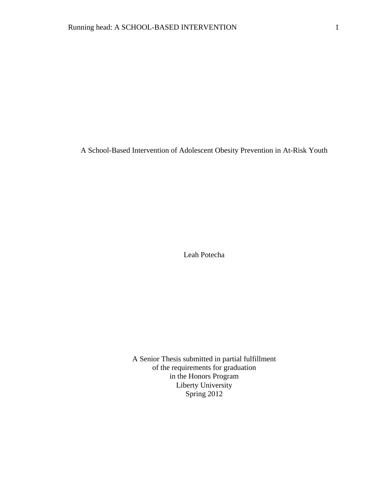A School-Based Intervention of Adolescent Obesity Prevention in At-Risk Youth

Leah Potecha

A Senior Thesis submitted in partial fulfillment of the requirements for graduation in the Honors Program Liberty University Spring 2012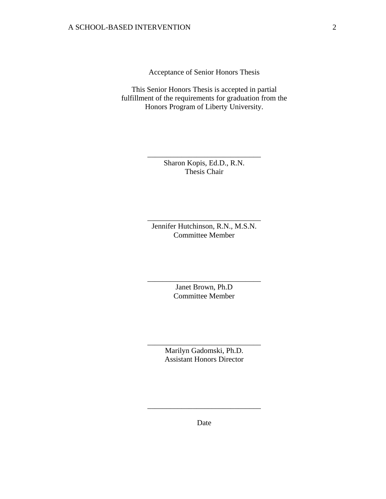Acceptance of Senior Honors Thesis

This Senior Honors Thesis is accepted in partial fulfillment of the requirements for graduation from the Honors Program of Liberty University.

> Sharon Kopis, Ed.D., R.N. Thesis Chair

\_\_\_\_\_\_\_\_\_\_\_\_\_\_\_\_\_\_\_\_\_\_\_\_\_\_\_\_\_\_

Jennifer Hutchinson, R.N., M.S.N. Committee Member

\_\_\_\_\_\_\_\_\_\_\_\_\_\_\_\_\_\_\_\_\_\_\_\_\_\_\_\_\_\_

Janet Brown, Ph.D Committee Member

\_\_\_\_\_\_\_\_\_\_\_\_\_\_\_\_\_\_\_\_\_\_\_\_\_\_\_\_\_\_

Marilyn Gadomski, Ph.D. Assistant Honors Director

\_\_\_\_\_\_\_\_\_\_\_\_\_\_\_\_\_\_\_\_\_\_\_\_\_\_\_\_\_\_

Date

\_\_\_\_\_\_\_\_\_\_\_\_\_\_\_\_\_\_\_\_\_\_\_\_\_\_\_\_\_\_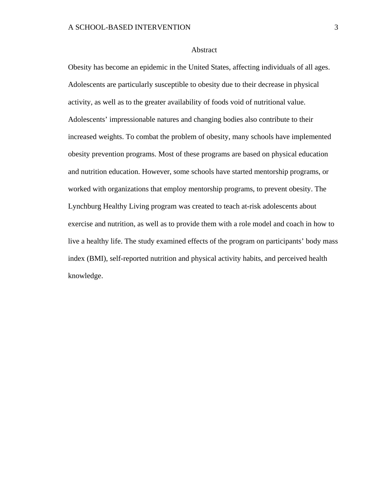#### Abstract

Obesity has become an epidemic in the United States, affecting individuals of all ages. Adolescents are particularly susceptible to obesity due to their decrease in physical activity, as well as to the greater availability of foods void of nutritional value. Adolescents' impressionable natures and changing bodies also contribute to their increased weights. To combat the problem of obesity, many schools have implemented obesity prevention programs. Most of these programs are based on physical education and nutrition education. However, some schools have started mentorship programs, or worked with organizations that employ mentorship programs, to prevent obesity. The Lynchburg Healthy Living program was created to teach at-risk adolescents about exercise and nutrition, as well as to provide them with a role model and coach in how to live a healthy life. The study examined effects of the program on participants' body mass index (BMI), self-reported nutrition and physical activity habits, and perceived health knowledge.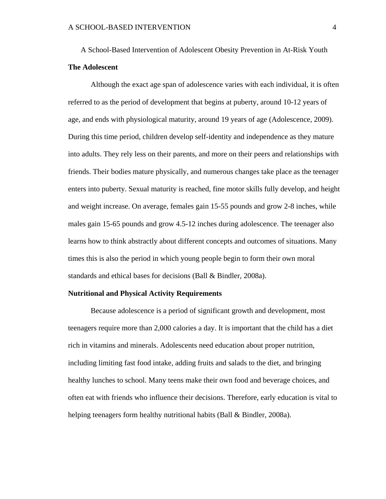A School-Based Intervention of Adolescent Obesity Prevention in At-Risk Youth **The Adolescent**

Although the exact age span of adolescence varies with each individual, it is often referred to as the period of development that begins at puberty, around 10-12 years of age, and ends with physiological maturity, around 19 years of age (Adolescence, 2009). During this time period, children develop self-identity and independence as they mature into adults. They rely less on their parents, and more on their peers and relationships with friends. Their bodies mature physically, and numerous changes take place as the teenager enters into puberty. Sexual maturity is reached, fine motor skills fully develop, and height and weight increase. On average, females gain 15-55 pounds and grow 2-8 inches, while males gain 15-65 pounds and grow 4.5-12 inches during adolescence. The teenager also learns how to think abstractly about different concepts and outcomes of situations. Many times this is also the period in which young people begin to form their own moral standards and ethical bases for decisions (Ball & Bindler, 2008a).

#### **Nutritional and Physical Activity Requirements**

Because adolescence is a period of significant growth and development, most teenagers require more than 2,000 calories a day. It is important that the child has a diet rich in vitamins and minerals. Adolescents need education about proper nutrition, including limiting fast food intake, adding fruits and salads to the diet, and bringing healthy lunches to school. Many teens make their own food and beverage choices, and often eat with friends who influence their decisions. Therefore, early education is vital to helping teenagers form healthy nutritional habits (Ball & Bindler, 2008a).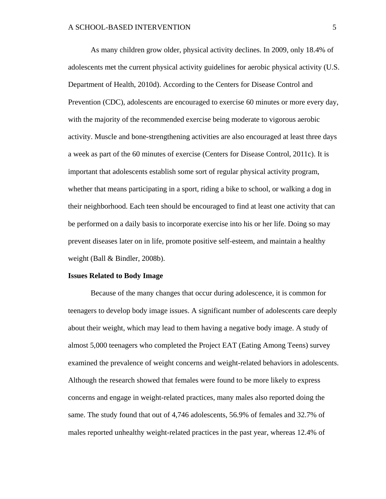As many children grow older, physical activity declines. In 2009, only 18.4% of adolescents met the current physical activity guidelines for aerobic physical activity (U.S. Department of Health, 2010d). According to the Centers for Disease Control and Prevention (CDC), adolescents are encouraged to exercise 60 minutes or more every day, with the majority of the recommended exercise being moderate to vigorous aerobic activity. Muscle and bone-strengthening activities are also encouraged at least three days a week as part of the 60 minutes of exercise (Centers for Disease Control, 2011c). It is important that adolescents establish some sort of regular physical activity program, whether that means participating in a sport, riding a bike to school, or walking a dog in their neighborhood. Each teen should be encouraged to find at least one activity that can be performed on a daily basis to incorporate exercise into his or her life. Doing so may prevent diseases later on in life, promote positive self-esteem, and maintain a healthy weight (Ball & Bindler, 2008b).

#### **Issues Related to Body Image**

Because of the many changes that occur during adolescence, it is common for teenagers to develop body image issues. A significant number of adolescents care deeply about their weight, which may lead to them having a negative body image. A study of almost 5,000 teenagers who completed the Project EAT (Eating Among Teens) survey examined the prevalence of weight concerns and weight-related behaviors in adolescents. Although the research showed that females were found to be more likely to express concerns and engage in weight-related practices, many males also reported doing the same. The study found that out of 4,746 adolescents, 56.9% of females and 32.7% of males reported unhealthy weight-related practices in the past year, whereas 12.4% of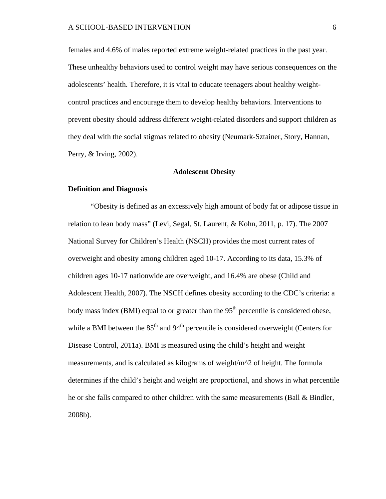females and 4.6% of males reported extreme weight-related practices in the past year. These unhealthy behaviors used to control weight may have serious consequences on the adolescents' health. Therefore, it is vital to educate teenagers about healthy weightcontrol practices and encourage them to develop healthy behaviors. Interventions to prevent obesity should address different weight-related disorders and support children as they deal with the social stigmas related to obesity (Neumark-Sztainer, Story, Hannan, Perry, & Irving, 2002).

# **Adolescent Obesity**

#### **Definition and Diagnosis**

"Obesity is defined as an excessively high amount of body fat or adipose tissue in relation to lean body mass" (Levi, Segal, St. Laurent, & Kohn, 2011, p. 17). The 2007 National Survey for Children's Health (NSCH) provides the most current rates of overweight and obesity among children aged 10-17. According to its data, 15.3% of children ages 10-17 nationwide are overweight, and 16.4% are obese (Child and Adolescent Health, 2007). The NSCH defines obesity according to the CDC's criteria: a body mass index (BMI) equal to or greater than the  $95<sup>th</sup>$  percentile is considered obese, while a BMI between the  $85<sup>th</sup>$  and  $94<sup>th</sup>$  percentile is considered overweight (Centers for Disease Control, 2011a). BMI is measured using the child's height and weight measurements, and is calculated as kilograms of weight/m^2 of height. The formula determines if the child's height and weight are proportional, and shows in what percentile he or she falls compared to other children with the same measurements (Ball & Bindler, 2008b).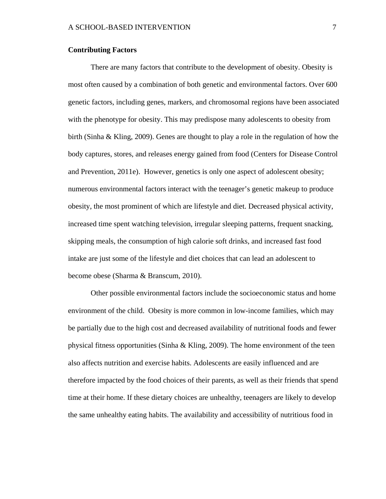# **Contributing Factors**

There are many factors that contribute to the development of obesity. Obesity is most often caused by a combination of both genetic and environmental factors. Over 600 genetic factors, including genes, markers, and chromosomal regions have been associated with the phenotype for obesity. This may predispose many adolescents to obesity from birth (Sinha & Kling, 2009). Genes are thought to play a role in the regulation of how the body captures, stores, and releases energy gained from food (Centers for Disease Control and Prevention, 2011e). However, genetics is only one aspect of adolescent obesity; numerous environmental factors interact with the teenager's genetic makeup to produce obesity, the most prominent of which are lifestyle and diet. Decreased physical activity, increased time spent watching television, irregular sleeping patterns, frequent snacking, skipping meals, the consumption of high calorie soft drinks, and increased fast food intake are just some of the lifestyle and diet choices that can lead an adolescent to become obese (Sharma & Branscum, 2010).

Other possible environmental factors include the socioeconomic status and home environment of the child. Obesity is more common in low-income families, which may be partially due to the high cost and decreased availability of nutritional foods and fewer physical fitness opportunities (Sinha & Kling, 2009). The home environment of the teen also affects nutrition and exercise habits. Adolescents are easily influenced and are therefore impacted by the food choices of their parents, as well as their friends that spend time at their home. If these dietary choices are unhealthy, teenagers are likely to develop the same unhealthy eating habits. The availability and accessibility of nutritious food in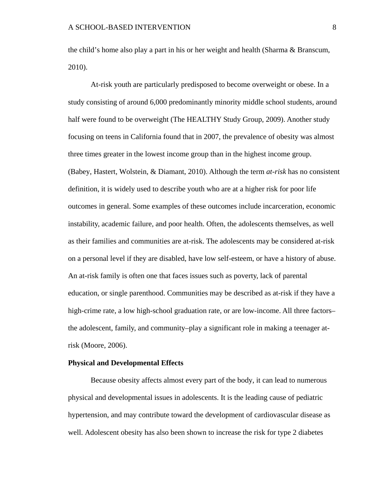the child's home also play a part in his or her weight and health (Sharma & Branscum, 2010).

At-risk youth are particularly predisposed to become overweight or obese. In a study consisting of around 6,000 predominantly minority middle school students, around half were found to be overweight (The HEALTHY Study Group, 2009). Another study focusing on teens in California found that in 2007, the prevalence of obesity was almost three times greater in the lowest income group than in the highest income group. (Babey, Hastert, Wolstein, & Diamant, 2010). Although the term *at-risk* has no consistent definition, it is widely used to describe youth who are at a higher risk for poor life outcomes in general. Some examples of these outcomes include incarceration, economic instability, academic failure, and poor health. Often, the adolescents themselves, as well as their families and communities are at-risk. The adolescents may be considered at-risk on a personal level if they are disabled, have low self-esteem, or have a history of abuse. An at-risk family is often one that faces issues such as poverty, lack of parental education, or single parenthood. Communities may be described as at-risk if they have a high-crime rate, a low high-school graduation rate, or are low-income. All three factors– the adolescent, family, and community–play a significant role in making a teenager atrisk (Moore, 2006).

#### **Physical and Developmental Effects**

Because obesity affects almost every part of the body, it can lead to numerous physical and developmental issues in adolescents. It is the leading cause of pediatric hypertension, and may contribute toward the development of cardiovascular disease as well. Adolescent obesity has also been shown to increase the risk for type 2 diabetes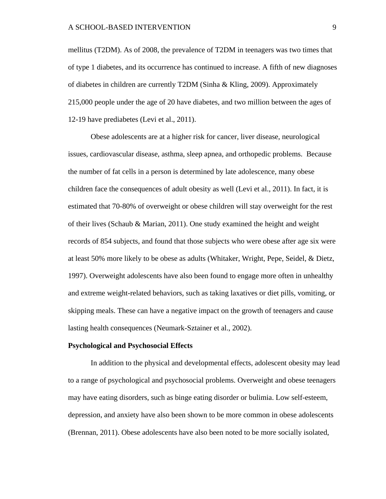mellitus (T2DM). As of 2008, the prevalence of T2DM in teenagers was two times that of type 1 diabetes, and its occurrence has continued to increase. A fifth of new diagnoses of diabetes in children are currently T2DM (Sinha & Kling, 2009). Approximately 215,000 people under the age of 20 have diabetes, and two million between the ages of 12-19 have prediabetes (Levi et al., 2011).

Obese adolescents are at a higher risk for cancer, liver disease, neurological issues, cardiovascular disease, asthma, sleep apnea, and orthopedic problems. Because the number of fat cells in a person is determined by late adolescence, many obese children face the consequences of adult obesity as well (Levi et al., 2011). In fact, it is estimated that 70-80% of overweight or obese children will stay overweight for the rest of their lives (Schaub & Marian, 2011). One study examined the height and weight records of 854 subjects, and found that those subjects who were obese after age six were at least 50% more likely to be obese as adults (Whitaker, Wright, Pepe, Seidel, & Dietz, 1997). Overweight adolescents have also been found to engage more often in unhealthy and extreme weight-related behaviors, such as taking laxatives or diet pills, vomiting, or skipping meals. These can have a negative impact on the growth of teenagers and cause lasting health consequences (Neumark-Sztainer et al., 2002).

#### **Psychological and Psychosocial Effects**

In addition to the physical and developmental effects, adolescent obesity may lead to a range of psychological and psychosocial problems. Overweight and obese teenagers may have eating disorders, such as binge eating disorder or bulimia. Low self-esteem, depression, and anxiety have also been shown to be more common in obese adolescents (Brennan, 2011). Obese adolescents have also been noted to be more socially isolated,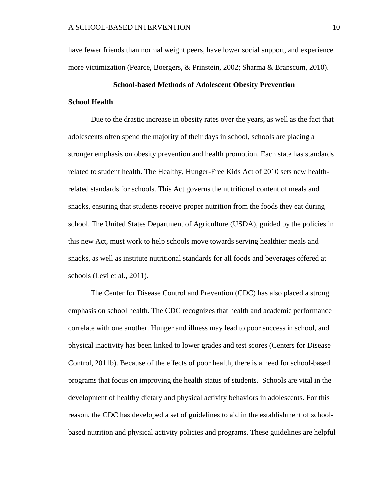have fewer friends than normal weight peers, have lower social support, and experience more victimization (Pearce, Boergers, & Prinstein, 2002; Sharma & Branscum, 2010).

# **School-based Methods of Adolescent Obesity Prevention School Health**

Due to the drastic increase in obesity rates over the years, as well as the fact that adolescents often spend the majority of their days in school, schools are placing a stronger emphasis on obesity prevention and health promotion. Each state has standards related to student health. The Healthy, Hunger-Free Kids Act of 2010 sets new healthrelated standards for schools. This Act governs the nutritional content of meals and snacks, ensuring that students receive proper nutrition from the foods they eat during school. The United States Department of Agriculture (USDA), guided by the policies in this new Act, must work to help schools move towards serving healthier meals and snacks, as well as institute nutritional standards for all foods and beverages offered at schools (Levi et al., 2011).

The Center for Disease Control and Prevention (CDC) has also placed a strong emphasis on school health. The CDC recognizes that health and academic performance correlate with one another. Hunger and illness may lead to poor success in school, and physical inactivity has been linked to lower grades and test scores (Centers for Disease Control, 2011b). Because of the effects of poor health, there is a need for school-based programs that focus on improving the health status of students. Schools are vital in the development of healthy dietary and physical activity behaviors in adolescents. For this reason, the CDC has developed a set of guidelines to aid in the establishment of schoolbased nutrition and physical activity policies and programs. These guidelines are helpful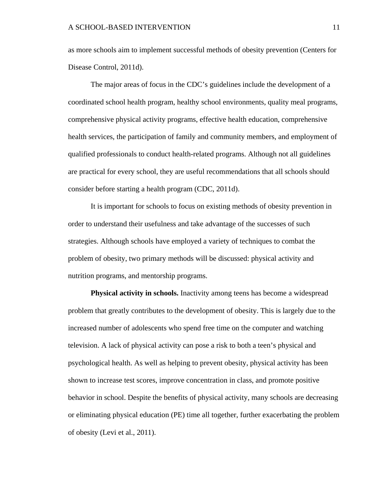as more schools aim to implement successful methods of obesity prevention (Centers for Disease Control, 2011d).

The major areas of focus in the CDC's guidelines include the development of a coordinated school health program, healthy school environments, quality meal programs, comprehensive physical activity programs, effective health education, comprehensive health services, the participation of family and community members, and employment of qualified professionals to conduct health-related programs. Although not all guidelines are practical for every school, they are useful recommendations that all schools should consider before starting a health program (CDC, 2011d).

It is important for schools to focus on existing methods of obesity prevention in order to understand their usefulness and take advantage of the successes of such strategies. Although schools have employed a variety of techniques to combat the problem of obesity, two primary methods will be discussed: physical activity and nutrition programs, and mentorship programs.

**Physical activity in schools.** Inactivity among teens has become a widespread problem that greatly contributes to the development of obesity. This is largely due to the increased number of adolescents who spend free time on the computer and watching television. A lack of physical activity can pose a risk to both a teen's physical and psychological health. As well as helping to prevent obesity, physical activity has been shown to increase test scores, improve concentration in class, and promote positive behavior in school. Despite the benefits of physical activity, many schools are decreasing or eliminating physical education (PE) time all together, further exacerbating the problem of obesity (Levi et al., 2011).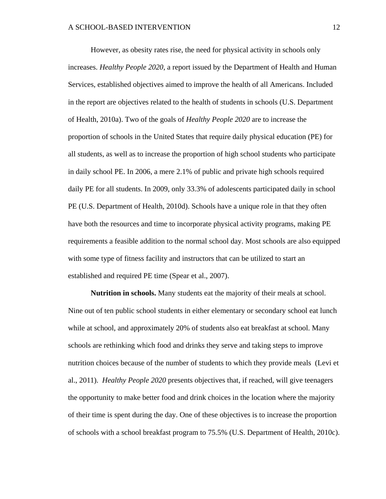However, as obesity rates rise, the need for physical activity in schools only increases. *Healthy People 2020*, a report issued by the Department of Health and Human Services, established objectives aimed to improve the health of all Americans. Included in the report are objectives related to the health of students in schools (U.S. Department of Health, 2010a). Two of the goals of *Healthy People 2020* are to increase the proportion of schools in the United States that require daily physical education (PE) for all students, as well as to increase the proportion of high school students who participate in daily school PE. In 2006, a mere 2.1% of public and private high schools required daily PE for all students. In 2009, only 33.3% of adolescents participated daily in school PE (U.S. Department of Health, 2010d). Schools have a unique role in that they often have both the resources and time to incorporate physical activity programs, making PE requirements a feasible addition to the normal school day. Most schools are also equipped with some type of fitness facility and instructors that can be utilized to start an established and required PE time (Spear et al., 2007).

**Nutrition in schools.** Many students eat the majority of their meals at school. Nine out of ten public school students in either elementary or secondary school eat lunch while at school, and approximately 20% of students also eat breakfast at school. Many schools are rethinking which food and drinks they serve and taking steps to improve nutrition choices because of the number of students to which they provide meals (Levi et al., 2011). *Healthy People 2020* presents objectives that, if reached, will give teenagers the opportunity to make better food and drink choices in the location where the majority of their time is spent during the day. One of these objectives is to increase the proportion of schools with a school breakfast program to 75.5% (U.S. Department of Health, 2010c).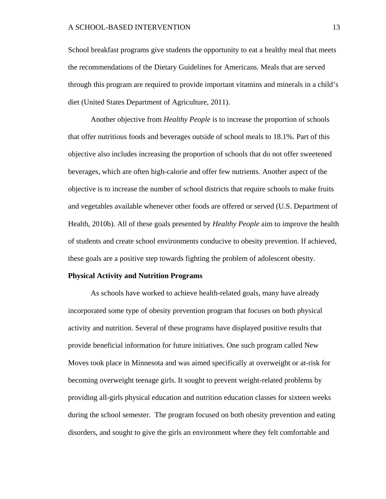School breakfast programs give students the opportunity to eat a healthy meal that meets the recommendations of the Dietary Guidelines for Americans. Meals that are served through this program are required to provide important vitamins and minerals in a child's diet (United States Department of Agriculture, 2011).

Another objective from *Healthy People* is to increase the proportion of schools that offer nutritious foods and beverages outside of school meals to 18.1%. Part of this objective also includes increasing the proportion of schools that do not offer sweetened beverages, which are often high-calorie and offer few nutrients. Another aspect of the objective is to increase the number of school districts that require schools to make fruits and vegetables available whenever other foods are offered or served (U.S. Department of Health, 2010b). All of these goals presented by *Healthy People* aim to improve the health of students and create school environments conducive to obesity prevention. If achieved, these goals are a positive step towards fighting the problem of adolescent obesity.

#### **Physical Activity and Nutrition Programs**

As schools have worked to achieve health-related goals, many have already incorporated some type of obesity prevention program that focuses on both physical activity and nutrition. Several of these programs have displayed positive results that provide beneficial information for future initiatives. One such program called New Moves took place in Minnesota and was aimed specifically at overweight or at-risk for becoming overweight teenage girls. It sought to prevent weight-related problems by providing all-girls physical education and nutrition education classes for sixteen weeks during the school semester. The program focused on both obesity prevention and eating disorders, and sought to give the girls an environment where they felt comfortable and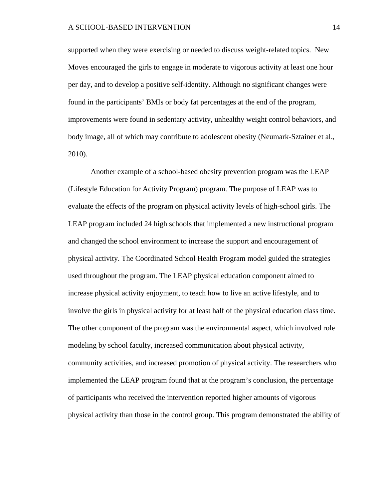supported when they were exercising or needed to discuss weight-related topics. New Moves encouraged the girls to engage in moderate to vigorous activity at least one hour per day, and to develop a positive self-identity. Although no significant changes were found in the participants' BMIs or body fat percentages at the end of the program, improvements were found in sedentary activity, unhealthy weight control behaviors, and body image, all of which may contribute to adolescent obesity (Neumark-Sztainer et al., 2010).

Another example of a school-based obesity prevention program was the LEAP (Lifestyle Education for Activity Program) program. The purpose of LEAP was to evaluate the effects of the program on physical activity levels of high-school girls. The LEAP program included 24 high schools that implemented a new instructional program and changed the school environment to increase the support and encouragement of physical activity. The Coordinated School Health Program model guided the strategies used throughout the program. The LEAP physical education component aimed to increase physical activity enjoyment, to teach how to live an active lifestyle, and to involve the girls in physical activity for at least half of the physical education class time. The other component of the program was the environmental aspect, which involved role modeling by school faculty, increased communication about physical activity, community activities, and increased promotion of physical activity. The researchers who implemented the LEAP program found that at the program's conclusion, the percentage of participants who received the intervention reported higher amounts of vigorous physical activity than those in the control group. This program demonstrated the ability of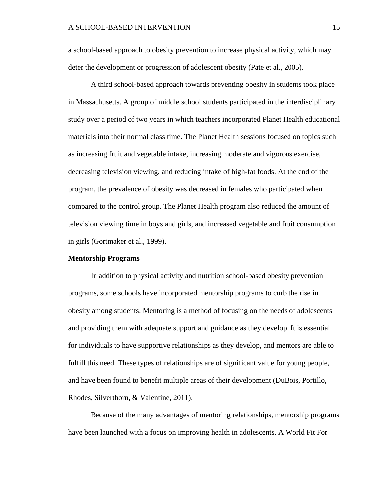a school-based approach to obesity prevention to increase physical activity, which may deter the development or progression of adolescent obesity (Pate et al., 2005).

A third school-based approach towards preventing obesity in students took place in Massachusetts. A group of middle school students participated in the interdisciplinary study over a period of two years in which teachers incorporated Planet Health educational materials into their normal class time. The Planet Health sessions focused on topics such as increasing fruit and vegetable intake, increasing moderate and vigorous exercise, decreasing television viewing, and reducing intake of high-fat foods. At the end of the program, the prevalence of obesity was decreased in females who participated when compared to the control group. The Planet Health program also reduced the amount of television viewing time in boys and girls, and increased vegetable and fruit consumption in girls (Gortmaker et al., 1999).

#### **Mentorship Programs**

In addition to physical activity and nutrition school-based obesity prevention programs, some schools have incorporated mentorship programs to curb the rise in obesity among students. Mentoring is a method of focusing on the needs of adolescents and providing them with adequate support and guidance as they develop. It is essential for individuals to have supportive relationships as they develop, and mentors are able to fulfill this need. These types of relationships are of significant value for young people, and have been found to benefit multiple areas of their development (DuBois, Portillo, Rhodes, Silverthorn, & Valentine, 2011).

Because of the many advantages of mentoring relationships, mentorship programs have been launched with a focus on improving health in adolescents. A World Fit For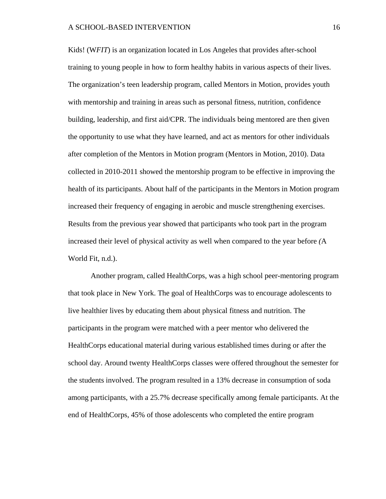Kids! (W*FIT*) is an organization located in Los Angeles that provides after-school training to young people in how to form healthy habits in various aspects of their lives. The organization's teen leadership program, called Mentors in Motion, provides youth with mentorship and training in areas such as personal fitness, nutrition, confidence building, leadership, and first aid/CPR. The individuals being mentored are then given the opportunity to use what they have learned, and act as mentors for other individuals after completion of the Mentors in Motion program (Mentors in Motion, 2010). Data collected in 2010-2011 showed the mentorship program to be effective in improving the health of its participants. About half of the participants in the Mentors in Motion program increased their frequency of engaging in aerobic and muscle strengthening exercises. Results from the previous year showed that participants who took part in the program increased their level of physical activity as well when compared to the year before *(*A World Fit, n.d.).

Another program, called HealthCorps, was a high school peer-mentoring program that took place in New York. The goal of HealthCorps was to encourage adolescents to live healthier lives by educating them about physical fitness and nutrition. The participants in the program were matched with a peer mentor who delivered the HealthCorps educational material during various established times during or after the school day. Around twenty HealthCorps classes were offered throughout the semester for the students involved. The program resulted in a 13% decrease in consumption of soda among participants, with a 25.7% decrease specifically among female participants. At the end of HealthCorps, 45% of those adolescents who completed the entire program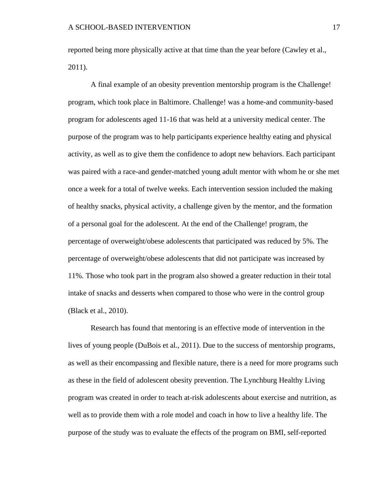reported being more physically active at that time than the year before (Cawley et al., 2011).

A final example of an obesity prevention mentorship program is the Challenge! program, which took place in Baltimore. Challenge! was a home-and community-based program for adolescents aged 11-16 that was held at a university medical center. The purpose of the program was to help participants experience healthy eating and physical activity, as well as to give them the confidence to adopt new behaviors. Each participant was paired with a race-and gender-matched young adult mentor with whom he or she met once a week for a total of twelve weeks. Each intervention session included the making of healthy snacks, physical activity, a challenge given by the mentor, and the formation of a personal goal for the adolescent. At the end of the Challenge! program, the percentage of overweight/obese adolescents that participated was reduced by 5%. The percentage of overweight/obese adolescents that did not participate was increased by 11%. Those who took part in the program also showed a greater reduction in their total intake of snacks and desserts when compared to those who were in the control group (Black et al., 2010).

Research has found that mentoring is an effective mode of intervention in the lives of young people (DuBois et al., 2011). Due to the success of mentorship programs, as well as their encompassing and flexible nature, there is a need for more programs such as these in the field of adolescent obesity prevention. The Lynchburg Healthy Living program was created in order to teach at-risk adolescents about exercise and nutrition, as well as to provide them with a role model and coach in how to live a healthy life. The purpose of the study was to evaluate the effects of the program on BMI, self-reported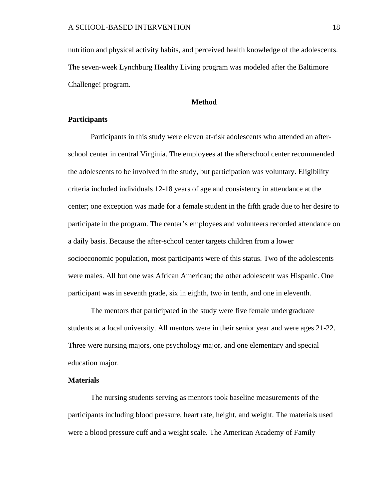nutrition and physical activity habits, and perceived health knowledge of the adolescents. The seven-week Lynchburg Healthy Living program was modeled after the Baltimore Challenge! program.

# **Method**

#### **Participants**

Participants in this study were eleven at-risk adolescents who attended an afterschool center in central Virginia. The employees at the afterschool center recommended the adolescents to be involved in the study, but participation was voluntary. Eligibility criteria included individuals 12-18 years of age and consistency in attendance at the center; one exception was made for a female student in the fifth grade due to her desire to participate in the program. The center's employees and volunteers recorded attendance on a daily basis. Because the after-school center targets children from a lower socioeconomic population, most participants were of this status. Two of the adolescents were males. All but one was African American; the other adolescent was Hispanic. One participant was in seventh grade, six in eighth, two in tenth, and one in eleventh.

The mentors that participated in the study were five female undergraduate students at a local university. All mentors were in their senior year and were ages 21-22. Three were nursing majors, one psychology major, and one elementary and special education major.

# **Materials**

The nursing students serving as mentors took baseline measurements of the participants including blood pressure, heart rate, height, and weight. The materials used were a blood pressure cuff and a weight scale. The American Academy of Family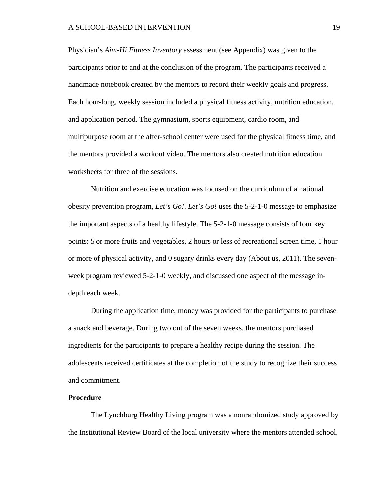Physician's *Aim-Hi Fitness Inventory* assessment (see Appendix) was given to the participants prior to and at the conclusion of the program. The participants received a handmade notebook created by the mentors to record their weekly goals and progress. Each hour-long, weekly session included a physical fitness activity, nutrition education, and application period. The gymnasium, sports equipment, cardio room, and multipurpose room at the after-school center were used for the physical fitness time, and the mentors provided a workout video. The mentors also created nutrition education worksheets for three of the sessions.

Nutrition and exercise education was focused on the curriculum of a national obesity prevention program, *Let's Go!*. *Let's Go!* uses the 5-2-1-0 message to emphasize the important aspects of a healthy lifestyle. The 5-2-1-0 message consists of four key points: 5 or more fruits and vegetables, 2 hours or less of recreational screen time, 1 hour or more of physical activity, and 0 sugary drinks every day (About us, 2011). The sevenweek program reviewed 5-2-1-0 weekly, and discussed one aspect of the message indepth each week.

During the application time, money was provided for the participants to purchase a snack and beverage. During two out of the seven weeks, the mentors purchased ingredients for the participants to prepare a healthy recipe during the session. The adolescents received certificates at the completion of the study to recognize their success and commitment.

#### **Procedure**

The Lynchburg Healthy Living program was a nonrandomized study approved by the Institutional Review Board of the local university where the mentors attended school.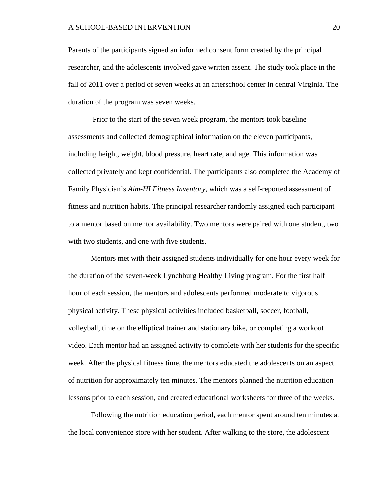Parents of the participants signed an informed consent form created by the principal researcher, and the adolescents involved gave written assent. The study took place in the fall of 2011 over a period of seven weeks at an afterschool center in central Virginia. The duration of the program was seven weeks.

Prior to the start of the seven week program, the mentors took baseline assessments and collected demographical information on the eleven participants, including height, weight, blood pressure, heart rate, and age. This information was collected privately and kept confidential. The participants also completed the Academy of Family Physician's *Aim-HI Fitness Inventory*, which was a self-reported assessment of fitness and nutrition habits. The principal researcher randomly assigned each participant to a mentor based on mentor availability. Two mentors were paired with one student, two with two students, and one with five students.

Mentors met with their assigned students individually for one hour every week for the duration of the seven-week Lynchburg Healthy Living program. For the first half hour of each session, the mentors and adolescents performed moderate to vigorous physical activity. These physical activities included basketball, soccer, football, volleyball, time on the elliptical trainer and stationary bike, or completing a workout video. Each mentor had an assigned activity to complete with her students for the specific week. After the physical fitness time, the mentors educated the adolescents on an aspect of nutrition for approximately ten minutes. The mentors planned the nutrition education lessons prior to each session, and created educational worksheets for three of the weeks.

Following the nutrition education period, each mentor spent around ten minutes at the local convenience store with her student. After walking to the store, the adolescent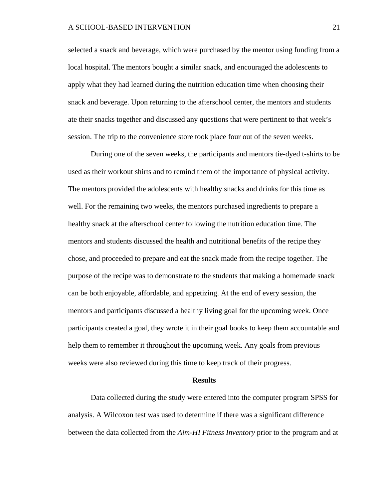#### A SCHOOL-BASED INTERVENTION 21

selected a snack and beverage, which were purchased by the mentor using funding from a local hospital. The mentors bought a similar snack, and encouraged the adolescents to apply what they had learned during the nutrition education time when choosing their snack and beverage. Upon returning to the afterschool center, the mentors and students ate their snacks together and discussed any questions that were pertinent to that week's session. The trip to the convenience store took place four out of the seven weeks.

During one of the seven weeks, the participants and mentors tie-dyed t-shirts to be used as their workout shirts and to remind them of the importance of physical activity. The mentors provided the adolescents with healthy snacks and drinks for this time as well. For the remaining two weeks, the mentors purchased ingredients to prepare a healthy snack at the afterschool center following the nutrition education time. The mentors and students discussed the health and nutritional benefits of the recipe they chose, and proceeded to prepare and eat the snack made from the recipe together. The purpose of the recipe was to demonstrate to the students that making a homemade snack can be both enjoyable, affordable, and appetizing. At the end of every session, the mentors and participants discussed a healthy living goal for the upcoming week. Once participants created a goal, they wrote it in their goal books to keep them accountable and help them to remember it throughout the upcoming week. Any goals from previous weeks were also reviewed during this time to keep track of their progress.

#### **Results**

Data collected during the study were entered into the computer program SPSS for analysis. A Wilcoxon test was used to determine if there was a significant difference between the data collected from the *Aim-HI Fitness Inventory* prior to the program and at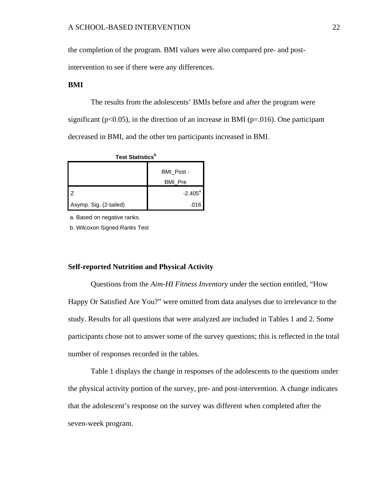the completion of the program. BMI values were also compared pre- and post-

intervention to see if there were any differences.

# **BMI**

The results from the adolescents' BMIs before and after the program were significant ( $p<0.05$ ), in the direction of an increase in BMI ( $p=0.016$ ). One participant decreased in BMI, and the other ten participants increased in BMI.

| Test Statistics <sup>b</sup> |                  |  |  |
|------------------------------|------------------|--|--|
|                              | BMI Post -       |  |  |
|                              | <b>BMI Pre</b>   |  |  |
|                              | $-2.405^{\circ}$ |  |  |
| Asymp. Sig. (2-tailed)       | .016             |  |  |

a. Based on negative ranks.

b. Wilcoxon Signed Ranks Test

# **Self-reported Nutrition and Physical Activity**

Questions from the *Aim-HI Fitness Inventory* under the section entitled, "How Happy Or Satisfied Are You?" were omitted from data analyses due to irrelevance to the study. Results for all questions that were analyzed are included in Tables 1 and 2. Some participants chose not to answer some of the survey questions; this is reflected in the total number of responses recorded in the tables.

Table 1 displays the change in responses of the adolescents to the questions under the physical activity portion of the survey, pre- and post-intervention. A change indicates that the adolescent's response on the survey was different when completed after the seven-week program.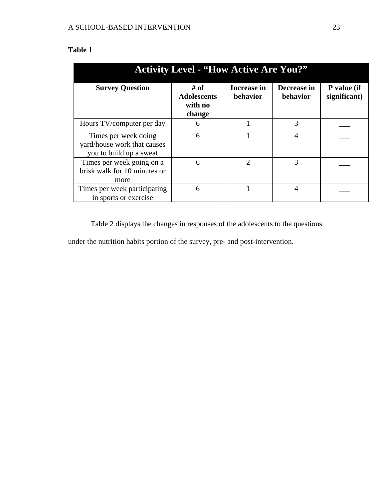| Table 1 |  |
|---------|--|
|         |  |

| <b>Activity Level - "How Active Are You?"</b>                                  |                                                   |                                |                         |                             |  |
|--------------------------------------------------------------------------------|---------------------------------------------------|--------------------------------|-------------------------|-----------------------------|--|
| <b>Survey Question</b>                                                         | $#$ of<br><b>Adolescents</b><br>with no<br>change | <b>Increase in</b><br>behavior | Decrease in<br>behavior | P value (if<br>significant) |  |
| Hours TV/computer per day                                                      | 6                                                 |                                | 3                       |                             |  |
| Times per week doing<br>yard/house work that causes<br>you to build up a sweat | 6                                                 |                                | $\overline{4}$          |                             |  |
| Times per week going on a<br>brisk walk for 10 minutes or<br>more              | 6                                                 | 2                              | 3                       |                             |  |
| Times per week participating<br>in sports or exercise                          | 6                                                 |                                | $\overline{4}$          |                             |  |

Table 2 displays the changes in responses of the adolescents to the questions

under the nutrition habits portion of the survey, pre- and post-intervention.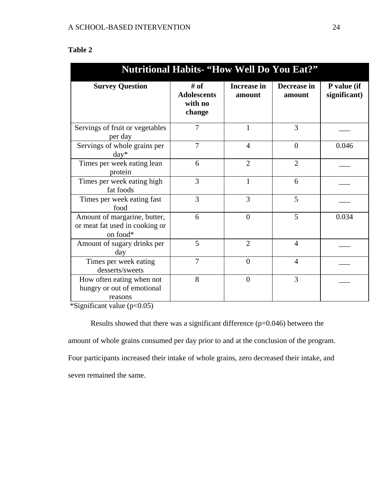# **Table 2**

| <b>Nutritional Habits- "How Well Do You Eat?"</b>                                                                                   |                                                 |                              |                       |                             |
|-------------------------------------------------------------------------------------------------------------------------------------|-------------------------------------------------|------------------------------|-----------------------|-----------------------------|
| <b>Survey Question</b>                                                                                                              | # of<br><b>Adolescents</b><br>with no<br>change | <b>Increase in</b><br>amount | Decrease in<br>amount | P value (if<br>significant) |
| Servings of fruit or vegetables<br>per day                                                                                          | 7                                               | 1                            | 3                     |                             |
| Servings of whole grains per<br>$day*$                                                                                              | $\overline{7}$                                  | $\overline{4}$               | $\overline{0}$        | 0.046                       |
| Times per week eating lean<br>protein                                                                                               | 6                                               | $\overline{2}$               | $\overline{2}$        |                             |
| Times per week eating high<br>fat foods                                                                                             | 3                                               | $\mathbf{1}$                 | 6                     |                             |
| Times per week eating fast<br>food                                                                                                  | 3                                               | 3                            | 5                     |                             |
| Amount of margarine, butter,<br>or meat fat used in cooking or<br>on food*                                                          | 6                                               | $\overline{0}$               | 5                     | 0.034                       |
| Amount of sugary drinks per<br>day                                                                                                  | 5                                               | $\overline{2}$               | $\overline{4}$        |                             |
| Times per week eating<br>desserts/sweets                                                                                            | 7                                               | $\overline{0}$               | $\overline{4}$        |                             |
| How often eating when not<br>hungry or out of emotional<br>reasons<br>$\left( \begin{array}{cc} 0 & \mathbf{0} \end{array} \right)$ | 8                                               | $\theta$                     | 3                     |                             |

 $\overline{\text{``Significant value (p<0.05)}}$ 

Results showed that there was a significant difference (p=0.046) between the amount of whole grains consumed per day prior to and at the conclusion of the program. Four participants increased their intake of whole grains, zero decreased their intake, and seven remained the same.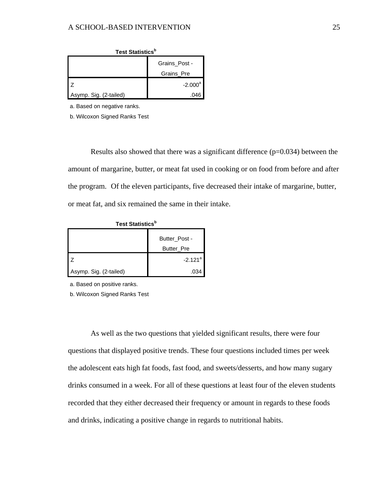| <b>Test Statistics</b> <sup>b</sup> |               |  |  |
|-------------------------------------|---------------|--|--|
|                                     | Grains Post - |  |  |
|                                     | Grains Pre    |  |  |
|                                     | $-2.000a$     |  |  |
| Asymp. Sig. (2-tailed)              | 046           |  |  |

a. Based on negative ranks.

b. Wilcoxon Signed Ranks Test

Results also showed that there was a significant difference  $(p=0.034)$  between the amount of margarine, butter, or meat fat used in cooking or on food from before and after the program. Of the eleven participants, five decreased their intake of margarine, butter, or meat fat, and six remained the same in their intake.

| Test Statistics <sup>b</sup> |                                    |  |  |
|------------------------------|------------------------------------|--|--|
|                              | Butter Post -<br><b>Butter</b> Pre |  |  |
|                              | $-2.121$ <sup>a</sup>              |  |  |
| Asymp. Sig. (2-tailed)       | .034                               |  |  |

a. Based on positive ranks.

b. Wilcoxon Signed Ranks Test

As well as the two questions that yielded significant results, there were four questions that displayed positive trends. These four questions included times per week the adolescent eats high fat foods, fast food, and sweets/desserts, and how many sugary drinks consumed in a week. For all of these questions at least four of the eleven students recorded that they either decreased their frequency or amount in regards to these foods and drinks, indicating a positive change in regards to nutritional habits.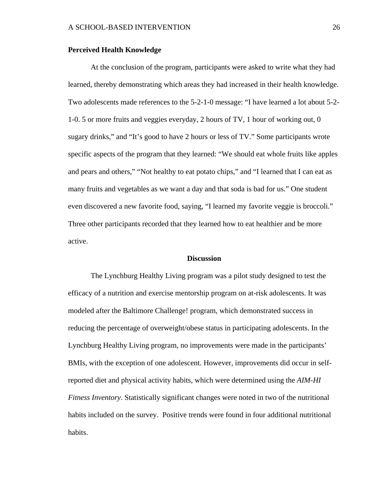#### **Perceived Health Knowledge**

At the conclusion of the program, participants were asked to write what they had learned, thereby demonstrating which areas they had increased in their health knowledge. Two adolescents made references to the 5-2-1-0 message: "I have learned a lot about 5-2- 1-0. 5 or more fruits and veggies everyday, 2 hours of TV, 1 hour of working out, 0 sugary drinks," and "It's good to have 2 hours or less of TV." Some participants wrote specific aspects of the program that they learned: "We should eat whole fruits like apples and pears and others," "Not healthy to eat potato chips," and "I learned that I can eat as many fruits and vegetables as we want a day and that soda is bad for us." One student even discovered a new favorite food, saying, "I learned my favorite veggie is broccoli." Three other participants recorded that they learned how to eat healthier and be more active.

#### **Discussion**

The Lynchburg Healthy Living program was a pilot study designed to test the efficacy of a nutrition and exercise mentorship program on at-risk adolescents. It was modeled after the Baltimore Challenge! program, which demonstrated success in reducing the percentage of overweight/obese status in participating adolescents. In the Lynchburg Healthy Living program, no improvements were made in the participants' BMIs, with the exception of one adolescent. However, improvements did occur in selfreported diet and physical activity habits, which were determined using the *AIM-HI Fitness Inventory*. Statistically significant changes were noted in two of the nutritional habits included on the survey. Positive trends were found in four additional nutritional habits.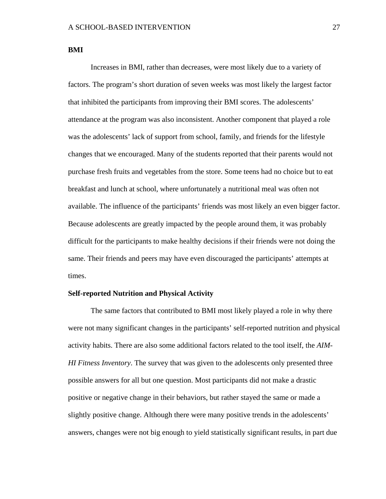# **BMI**

Increases in BMI, rather than decreases, were most likely due to a variety of factors. The program's short duration of seven weeks was most likely the largest factor that inhibited the participants from improving their BMI scores. The adolescents' attendance at the program was also inconsistent. Another component that played a role was the adolescents' lack of support from school, family, and friends for the lifestyle changes that we encouraged. Many of the students reported that their parents would not purchase fresh fruits and vegetables from the store. Some teens had no choice but to eat breakfast and lunch at school, where unfortunately a nutritional meal was often not available. The influence of the participants' friends was most likely an even bigger factor. Because adolescents are greatly impacted by the people around them, it was probably difficult for the participants to make healthy decisions if their friends were not doing the same. Their friends and peers may have even discouraged the participants' attempts at times.

# **Self-reported Nutrition and Physical Activity**

The same factors that contributed to BMI most likely played a role in why there were not many significant changes in the participants' self-reported nutrition and physical activity habits. There are also some additional factors related to the tool itself, the *AIM-HI Fitness Inventory*. The survey that was given to the adolescents only presented three possible answers for all but one question. Most participants did not make a drastic positive or negative change in their behaviors, but rather stayed the same or made a slightly positive change. Although there were many positive trends in the adolescents' answers, changes were not big enough to yield statistically significant results, in part due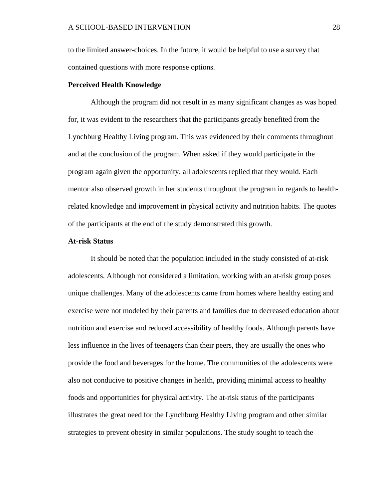to the limited answer-choices. In the future, it would be helpful to use a survey that contained questions with more response options.

#### **Perceived Health Knowledge**

Although the program did not result in as many significant changes as was hoped for, it was evident to the researchers that the participants greatly benefited from the Lynchburg Healthy Living program. This was evidenced by their comments throughout and at the conclusion of the program. When asked if they would participate in the program again given the opportunity, all adolescents replied that they would. Each mentor also observed growth in her students throughout the program in regards to healthrelated knowledge and improvement in physical activity and nutrition habits. The quotes of the participants at the end of the study demonstrated this growth.

### **At-risk Status**

It should be noted that the population included in the study consisted of at-risk adolescents. Although not considered a limitation, working with an at-risk group poses unique challenges. Many of the adolescents came from homes where healthy eating and exercise were not modeled by their parents and families due to decreased education about nutrition and exercise and reduced accessibility of healthy foods. Although parents have less influence in the lives of teenagers than their peers, they are usually the ones who provide the food and beverages for the home. The communities of the adolescents were also not conducive to positive changes in health, providing minimal access to healthy foods and opportunities for physical activity. The at-risk status of the participants illustrates the great need for the Lynchburg Healthy Living program and other similar strategies to prevent obesity in similar populations. The study sought to teach the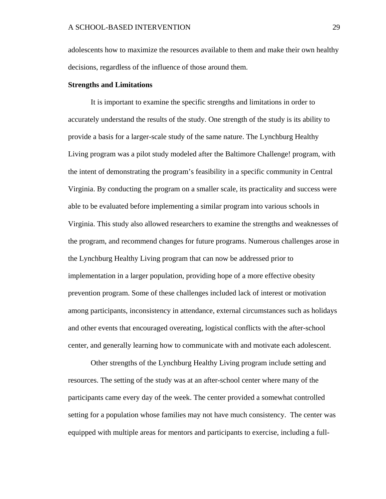adolescents how to maximize the resources available to them and make their own healthy decisions, regardless of the influence of those around them.

#### **Strengths and Limitations**

It is important to examine the specific strengths and limitations in order to accurately understand the results of the study. One strength of the study is its ability to provide a basis for a larger-scale study of the same nature. The Lynchburg Healthy Living program was a pilot study modeled after the Baltimore Challenge! program, with the intent of demonstrating the program's feasibility in a specific community in Central Virginia. By conducting the program on a smaller scale, its practicality and success were able to be evaluated before implementing a similar program into various schools in Virginia. This study also allowed researchers to examine the strengths and weaknesses of the program, and recommend changes for future programs. Numerous challenges arose in the Lynchburg Healthy Living program that can now be addressed prior to implementation in a larger population, providing hope of a more effective obesity prevention program. Some of these challenges included lack of interest or motivation among participants, inconsistency in attendance, external circumstances such as holidays and other events that encouraged overeating, logistical conflicts with the after-school center, and generally learning how to communicate with and motivate each adolescent.

Other strengths of the Lynchburg Healthy Living program include setting and resources. The setting of the study was at an after-school center where many of the participants came every day of the week. The center provided a somewhat controlled setting for a population whose families may not have much consistency. The center was equipped with multiple areas for mentors and participants to exercise, including a full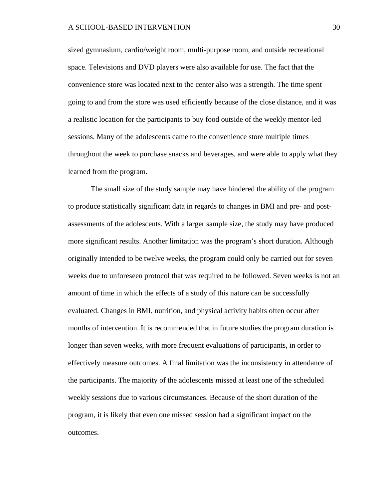sized gymnasium, cardio/weight room, multi-purpose room, and outside recreational space. Televisions and DVD players were also available for use. The fact that the convenience store was located next to the center also was a strength. The time spent going to and from the store was used efficiently because of the close distance, and it was a realistic location for the participants to buy food outside of the weekly mentor-led sessions. Many of the adolescents came to the convenience store multiple times throughout the week to purchase snacks and beverages, and were able to apply what they learned from the program.

The small size of the study sample may have hindered the ability of the program to produce statistically significant data in regards to changes in BMI and pre- and postassessments of the adolescents. With a larger sample size, the study may have produced more significant results. Another limitation was the program's short duration. Although originally intended to be twelve weeks, the program could only be carried out for seven weeks due to unforeseen protocol that was required to be followed. Seven weeks is not an amount of time in which the effects of a study of this nature can be successfully evaluated. Changes in BMI, nutrition, and physical activity habits often occur after months of intervention. It is recommended that in future studies the program duration is longer than seven weeks, with more frequent evaluations of participants, in order to effectively measure outcomes. A final limitation was the inconsistency in attendance of the participants. The majority of the adolescents missed at least one of the scheduled weekly sessions due to various circumstances. Because of the short duration of the program, it is likely that even one missed session had a significant impact on the outcomes.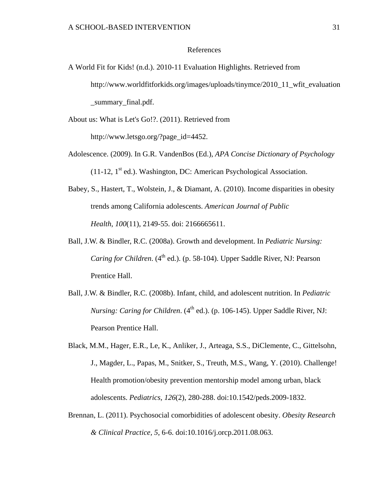# References

A World Fit for Kids! (n.d.). 2010-11 Evaluation Highlights. Retrieved from http://www.worldfitforkids.org/images/uploads/tinymce/2010\_11\_wfit\_evaluation \_summary\_final.pdf.

About us: What is Let's Go!?. (2011). Retrieved from http://www.letsgo.org/?page\_id=4452.

- Adolescence. (2009). In G.R. VandenBos (Ed.), *APA Concise Dictionary of Psychology*   $(11-12, 1<sup>st</sup>$  ed.). Washington, DC: American Psychological Association.
- Babey, S., Hastert, T., Wolstein, J., & Diamant, A. (2010). Income disparities in obesity trends among California adolescents. *American Journal of Public Health*, *100*(11), 2149-55. doi: 2166665611.
- Ball, J.W. & Bindler, R.C. (2008a). Growth and development. In *Pediatric Nursing: Caring for Children.* (4<sup>th</sup> ed.). (p. 58-104). Upper Saddle River, NJ: Pearson Prentice Hall.
- Ball, J.W. & Bindler, R.C. (2008b). Infant, child, and adolescent nutrition. In *Pediatric Nursing: Caring for Children.*  $(4^{th}$  ed.). (p. 106-145). Upper Saddle River, NJ: Pearson Prentice Hall.
- Black, M.M., Hager, E.R., Le, K., Anliker, J., Arteaga, S.S., DiClemente, C., Gittelsohn, J., Magder, L., Papas, M., Snitker, S., Treuth, M.S., Wang, Y. (2010). Challenge! Health promotion/obesity prevention mentorship model among urban, black adolescents. *Pediatrics, 126*(2), 280-288. doi:10.1542/peds.2009-1832.
- Brennan, L. (2011). Psychosocial comorbidities of adolescent obesity. *Obesity Research & Clinical Practice, 5*, 6-6. doi:10.1016/j.orcp.2011.08.063.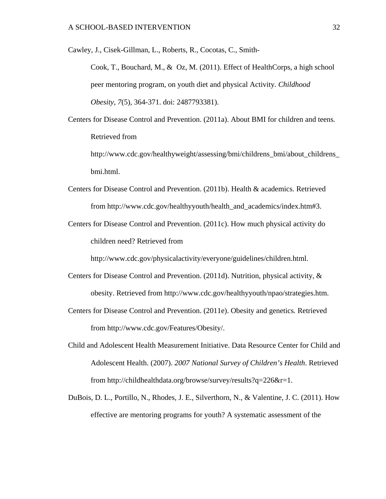Cawley, J., Cisek-Gillman, L., Roberts, R., Cocotas, C., Smith-

Cook, T., Bouchard, M., & Oz, M. (2011). Effect of HealthCorps, a high school peer mentoring program, on youth diet and physical Activity*. Childhood Obesity, 7*(5), 364-371. doi: 2487793381).

Centers for Disease Control and Prevention. (2011a). About BMI for children and teens*.* Retrieved from

http://www.cdc.gov/healthyweight/assessing/bmi/childrens\_bmi/about\_childrens\_ bmi.html.

- Centers for Disease Control and Prevention. (2011b). Health & academics. Retrieved from http://www.cdc.gov/healthyyouth/health\_and\_academics/index.htm#3.
- Centers for Disease Control and Prevention. (2011c). How much physical activity do children need? Retrieved from

http://www.cdc.gov/physicalactivity/everyone/guidelines/children.html.

- Centers for Disease Control and Prevention. (2011d). Nutrition, physical activity, & obesity. Retrieved from http://www.cdc.gov/healthyyouth/npao/strategies.htm.
- Centers for Disease Control and Prevention. (2011e). Obesity and genetics*.* Retrieved from http://www.cdc.gov/Features/Obesity/.
- Child and Adolescent Health Measurement Initiative. Data Resource Center for Child and Adolescent Health. (2007). *2007 National Survey of Children's Health*. Retrieved from http://childhealthdata.org/browse/survey/results?q=226&r=1.
- DuBois, D. L., Portillo, N., Rhodes, J. E., Silverthorn, N., & Valentine, J. C. (2011). How effective are mentoring programs for youth? A systematic assessment of the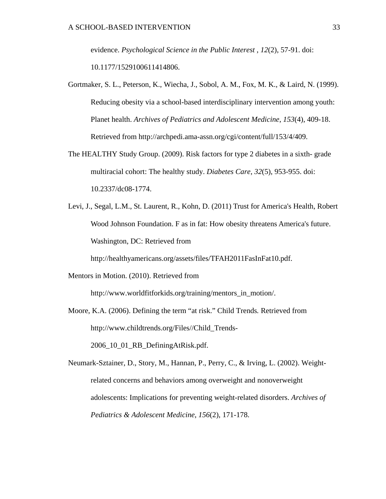evidence. *Psychological Science in the Public Interest* , *12*(2), 57-91. doi: 10.1177/1529100611414806.

- Gortmaker, S. L., Peterson, K., Wiecha, J., Sobol, A. M., Fox, M. K., & Laird, N. (1999). Reducing obesity via a school-based interdisciplinary intervention among youth: Planet health. *Archives of Pediatrics and Adolescent Medicine*, *153*(4), 409-18. Retrieved from http://archpedi.ama-assn.org/cgi/content/full/153/4/409.
- The HEALTHY Study Group. (2009). Risk factors for type 2 diabetes in a sixth- grade multiracial cohort: The healthy study. *Diabetes Care*, *32*(5), 953-955. doi: 10.2337/dc08-1774.
- Levi, J., Segal, L.M., St. Laurent, R., Kohn, D. (2011) Trust for America's Health, Robert Wood Johnson Foundation. F as in fat: How obesity threatens America's future. Washington, DC: Retrieved from

http://healthyamericans.org/assets/files/TFAH2011FasInFat10.pdf.

Mentors in Motion. (2010). Retrieved from

http://www.worldfitforkids.org/training/mentors\_in\_motion/.

Moore, K.A. (2006). Defining the term "at risk." Child Trends*.* Retrieved from http://www.childtrends.org/Files//Child\_Trends-

2006\_10\_01\_RB\_DefiningAtRisk.pdf.

Neumark-Sztainer, D., Story, M., Hannan, P., Perry, C., & Irving, L. (2002). Weightrelated concerns and behaviors among overweight and nonoverweight adolescents: Implications for preventing weight-related disorders. *Archives of Pediatrics & Adolescent Medicine*, *156*(2), 171-178.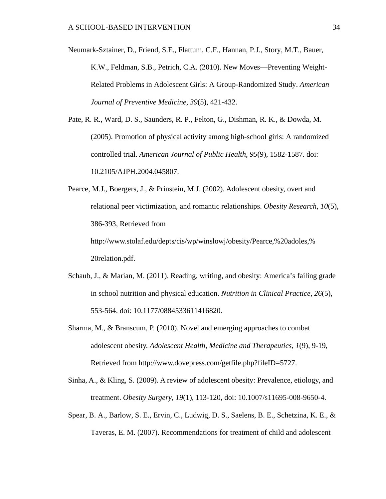Neumark-Sztainer, D., Friend, S.E., Flattum, C.F., Hannan, P.J., Story, M.T., Bauer, K.W., Feldman, S.B., Petrich, C.A. (2010). New Moves—Preventing Weight-Related Problems in Adolescent Girls: A Group-Randomized Study. *American Journal of Preventive Medicine*, *39*(5), 421-432.

Pate, R. R., Ward, D. S., Saunders, R. P., Felton, G., Dishman, R. K., & Dowda, M. (2005). Promotion of physical activity among high-school girls: A randomized controlled trial. *American Journal of Public Health*, *95*(9), 1582-1587. doi: 10.2105/AJPH.2004.045807.

Pearce, M.J., Boergers, J., & Prinstein, M.J. (2002). Adolescent obesity, overt and relational peer victimization, and romantic relationships. *Obesity Research*, *10*(5), 386-393, Retrieved from http://www.stolaf.edu/depts/cis/wp/winslowj/obesity/Pearce,%20adoles,% 20relation.pdf.

- Schaub, J., & Marian, M. (2011). Reading, writing, and obesity: America's failing grade in school nutrition and physical education. *Nutrition in Clinical Practice*, *26*(5), 553-564. doi: 10.1177/0884533611416820.
- Sharma, M., & Branscum, P. (2010). Novel and emerging approaches to combat adolescent obesity. *Adolescent Health, Medicine and Therapeutics*, *1*(9), 9-19, Retrieved from http://www.dovepress.com/getfile.php?fileID=5727.
- Sinha, A., & Kling, S. (2009). A review of adolescent obesity: Prevalence, etiology, and treatment. *Obesity Surgery*, *19*(1), 113-120, doi: 10.1007/s11695-008-9650-4.
- Spear, B. A., Barlow, S. E., Ervin, C., Ludwig, D. S., Saelens, B. E., Schetzina, K. E., & Taveras, E. M. (2007). Recommendations for treatment of child and adolescent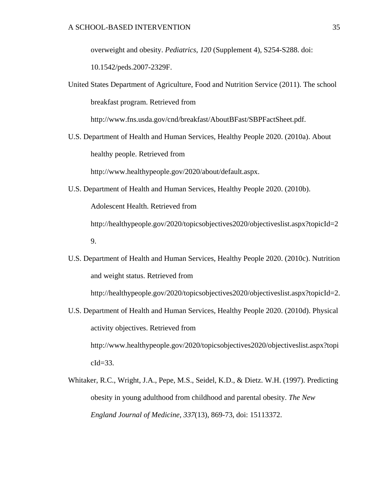overweight and obesity. *Pediatrics*, *120* (Supplement 4), S254-S288. doi:

10.1542/peds.2007-2329F.

United States Department of Agriculture, Food and Nutrition Service (2011). The school breakfast program. Retrieved from

http://www.fns.usda.gov/cnd/breakfast/AboutBFast/SBPFactSheet.pdf.

U.S. Department of Health and Human Services, Healthy People 2020. (2010a). About healthy people. Retrieved from

http://www.healthypeople.gov/2020/about/default.aspx.

- U.S. Department of Health and Human Services, Healthy People 2020. (2010b). Adolescent Health. Retrieved from http://healthypeople.gov/2020/topicsobjectives2020/objectiveslist.aspx?topicId=2 9.
- U.S. Department of Health and Human Services, Healthy People 2020. (2010c). Nutrition and weight status. Retrieved from

http://healthypeople.gov/2020/topicsobjectives2020/objectiveslist.aspx?topicId=2.

- U.S. Department of Health and Human Services, Healthy People 2020. (2010d). Physical activity objectives. Retrieved from http://www.healthypeople.gov/2020/topicsobjectives2020/objectiveslist.aspx?topi cId=33.
- Whitaker, R.C., Wright, J.A., Pepe, M.S., Seidel, K.D., & Dietz. W.H. (1997). Predicting obesity in young adulthood from childhood and parental obesity. *The New England Journal of Medicine, 337*(13), 869-73, doi: 15113372.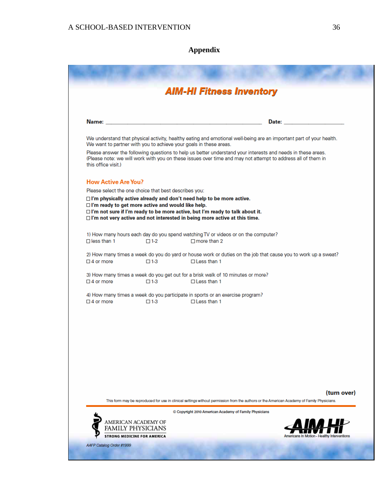# **Appendix**

|                                                          |                     | <b>AIM-HI Fitness Inventory</b>                                                                                                                                                                                                              |                                                                                                                                                                                                                                |
|----------------------------------------------------------|---------------------|----------------------------------------------------------------------------------------------------------------------------------------------------------------------------------------------------------------------------------------------|--------------------------------------------------------------------------------------------------------------------------------------------------------------------------------------------------------------------------------|
|                                                          |                     |                                                                                                                                                                                                                                              | Date: the contract of the contract of the contract of the contract of the contract of the contract of the contract of the contract of the contract of the contract of the contract of the contract of the contract of the cont |
|                                                          |                     | We want to partner with you to achieve your goals in these areas.                                                                                                                                                                            | We understand that physical activity, healthy eating and emotional well-being are an important part of your health.                                                                                                            |
| this office visit.)                                      |                     | Please answer the following questions to help us better understand your interests and needs in these areas.<br>(Please note: we will work with you on these issues over time and may not attempt to address all of them in                   |                                                                                                                                                                                                                                |
| <b>How Active Are You?</b>                               |                     |                                                                                                                                                                                                                                              |                                                                                                                                                                                                                                |
| Please select the one choice that best describes you:    |                     |                                                                                                                                                                                                                                              |                                                                                                                                                                                                                                |
| $\Box$ I'm ready to get more active and would like help. |                     | □ I'm physically active already and don't need help to be more active.<br>□ I'm not sure if I'm ready to be more active, but I'm ready to talk about it.<br>$\Box$ I'm not very active and not interested in being more active at this time. |                                                                                                                                                                                                                                |
| $\Box$ less than 1                                       | $\Box$ 1-2          | 1) How many hours each day do you spend watching TV or videos or on the computer?<br>$\Box$ more than 2                                                                                                                                      |                                                                                                                                                                                                                                |
| $\Box$ 4 or more                                         | $\Box$ 1-3          | $\Box$ Less than 1                                                                                                                                                                                                                           | 2) How many times a week do you do yard or house work or duties on the job that cause you to work up a sweat?                                                                                                                  |
| $\square$ 4 or more                                      | $\Box$ 1-3          | 3) How many times a week do you get out for a brisk walk of 10 minutes or more?<br>$\Box$ Less than 1                                                                                                                                        |                                                                                                                                                                                                                                |
| $\Box$ 4 or more                                         | $\Box$ 1-3          | 4) How many times a week do you participate in sports or an exercise program?<br>$\Box$ Less than 1                                                                                                                                          |                                                                                                                                                                                                                                |
|                                                          |                     |                                                                                                                                                                                                                                              |                                                                                                                                                                                                                                |
|                                                          |                     |                                                                                                                                                                                                                                              |                                                                                                                                                                                                                                |
|                                                          |                     |                                                                                                                                                                                                                                              |                                                                                                                                                                                                                                |
|                                                          |                     |                                                                                                                                                                                                                                              |                                                                                                                                                                                                                                |
|                                                          |                     |                                                                                                                                                                                                                                              | (turn over)<br>This form may be reproduced for use in clinical settings without permission from the authors or the American Academy of Family Physicians.                                                                      |
|                                                          |                     | Copyright 2010 American Academy of Family Physicians                                                                                                                                                                                         |                                                                                                                                                                                                                                |
|                                                          | AMERICAN ACADEMY OF |                                                                                                                                                                                                                                              |                                                                                                                                                                                                                                |
| <b>STRONG MEDICINE FOR AMERICA</b>                       | FAMILY PHYSICIANS   |                                                                                                                                                                                                                                              |                                                                                                                                                                                                                                |
|                                                          |                     |                                                                                                                                                                                                                                              |                                                                                                                                                                                                                                |